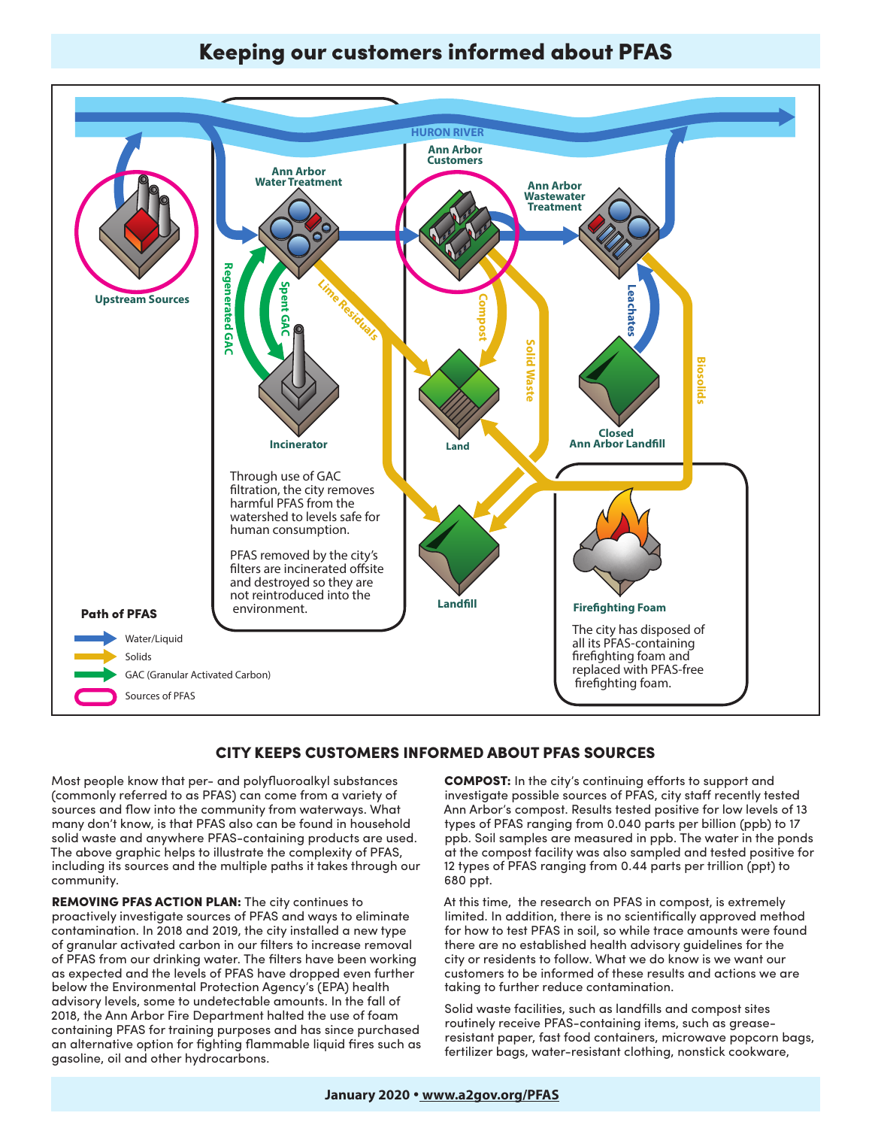# **Reduction Activities Activities Activities Arborrorum Arborrorum Arborrorum Arborrorum Arborrorum Arborrorum Arborrorum Arborrorum Arborrorum Arborrorum Arborrorum Arborrorum Arborrorum Arborrorum Arborrorum Arborrorum**



# CITY KEEPS CUSTOMERS INFORMED ABOUT PFAS SOURCES **Path of PFAS**

Most people know that per- and polyfluoroalkyl substances (commonly referred to as PFAS) can come from a variety of commonly referred to deriving can come nother carrery of **Example in the community of the little component of the control of the component of the many don't know, is that PFAS also can be found in household** solid waste and anywhere PFAS-containing products are used. The above graphic helps to illustrate the complexity of PFAS, including its sources and the multiple paths it takes through our community.

REMOVING PFAS ACTION PLAN: The city continues to proactively investigate sources of PFAS and ways to eliminate contamination. In 2018 and 2019, the city installed a new type of granular activated carbon in our filters to increase removal of PFAS from our drinking water. The filters have been working as expected and the levels of PFAS have dropped even further below the Environmental Protection Agency's (EPA) health advisory levels, some to undetectable amounts. In the fall of 2018, the Ann Arbor Fire Department halted the use of foam containing PFAS for training purposes and has since purchased an alternative option for fighting flammable liquid fires such as gasoline, oil and other hydrocarbons.

COMPOST: In the city's continuing efforts to support and investigate possible sources of PFAS, city staff recently tested Ann Arbor's compost. Results tested positive for low levels of 13 types of PFAS ranging from 0.040 parts per billion (ppb) to 17 ppb. Soil samples are measured in ppb. The water in the ponds at the compost facility was also sampled and tested positive for 12 types of PFAS ranging from 0.44 parts per trillion (ppt) to 680 ppt.

At this time, the research on PFAS in compost, is extremely limited. In addition, there is no scientifically approved method for how to test PFAS in soil, so while trace amounts were found there are no established health advisory guidelines for the  $\alpha$ city or residents to follow. What we do know is we want our customers to be informed of these results and actions we are taking to further reduce contamination.

> Solid waste facilities, such as landfills and compost sites routinely receive PFAS-containing items, such as greaseresistant paper, fast food containers, microwave popcorn bags, fertilizer bags, water-resistant clothing, nonstick cookware,